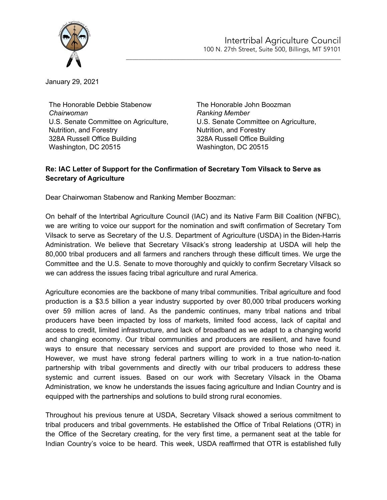

January 29, 2021

The Honorable Debbie Stabenow *Chairwoman* U.S. Senate Committee on Agriculture, Nutrition, and Forestry 328A Russell Office Building Washington, DC 20515

The Honorable John Boozman *Ranking Member* U.S. Senate Committee on Agriculture, Nutrition, and Forestry 328A Russell Office Building Washington, DC 20515

\_\_\_\_\_\_\_\_\_\_\_\_\_\_\_\_\_\_\_\_\_\_\_\_\_\_\_\_\_\_\_\_\_\_\_\_\_\_\_\_\_\_\_\_\_\_\_\_\_\_\_\_\_\_\_\_\_\_\_\_\_\_\_\_\_\_\_\_

## **Re: IAC Letter of Support for the Confirmation of Secretary Tom Vilsack to Serve as Secretary of Agriculture**

Dear Chairwoman Stabenow and Ranking Member Boozman:

On behalf of the Intertribal Agriculture Council (IAC) and its Native Farm Bill Coalition (NFBC), we are writing to voice our support for the nomination and swift confirmation of Secretary Tom Vilsack to serve as Secretary of the U.S. Department of Agriculture (USDA) in the Biden-Harris Administration. We believe that Secretary Vilsack's strong leadership at USDA will help the 80,000 tribal producers and all farmers and ranchers through these difficult times. We urge the Committee and the U.S. Senate to move thoroughly and quickly to confirm Secretary Vilsack so we can address the issues facing tribal agriculture and rural America.

Agriculture economies are the backbone of many tribal communities. Tribal agriculture and food production is a \$3.5 billion a year industry supported by over 80,000 tribal producers working over 59 million acres of land. As the pandemic continues, many tribal nations and tribal producers have been impacted by loss of markets, limited food access, lack of capital and access to credit, limited infrastructure, and lack of broadband as we adapt to a changing world and changing economy. Our tribal communities and producers are resilient, and have found ways to ensure that necessary services and support are provided to those who need it. However, we must have strong federal partners willing to work in a true nation-to-nation partnership with tribal governments and directly with our tribal producers to address these systemic and current issues. Based on our work with Secretary Vilsack in the Obama Administration, we know he understands the issues facing agriculture and Indian Country and is equipped with the partnerships and solutions to build strong rural economies.

Throughout his previous tenure at USDA, Secretary Vilsack showed a serious commitment to tribal producers and tribal governments. He established the Office of Tribal Relations (OTR) in the Office of the Secretary creating, for the very first time, a permanent seat at the table for Indian Country's voice to be heard. This week, USDA reaffirmed that OTR is established fully